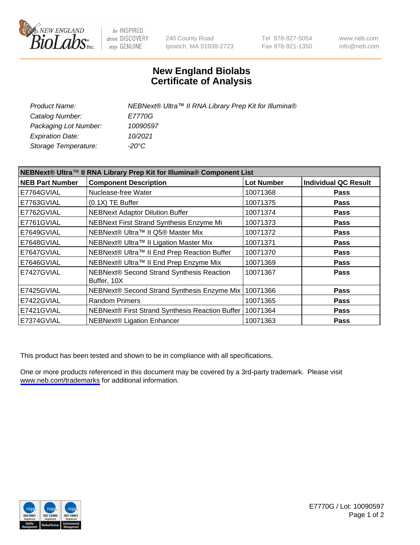

be INSPIRED drive DISCOVERY stay GENUINE

240 County Road Ipswich, MA 01938-2723 Tel 978-927-5054 Fax 978-921-1350

www.neb.com info@neb.com

## **New England Biolabs Certificate of Analysis**

| Product Name:           | NEBNext® Ultra™ II RNA Library Prep Kit for Illumina® |
|-------------------------|-------------------------------------------------------|
| Catalog Number:         | <i>E7770G</i>                                         |
| Packaging Lot Number:   | 10090597                                              |
| <b>Expiration Date:</b> | 10/2021                                               |
| Storage Temperature:    | -20°C                                                 |

| NEBNext® Ultra™ II RNA Library Prep Kit for Illumina® Component List |                                                          |                   |                             |
|----------------------------------------------------------------------|----------------------------------------------------------|-------------------|-----------------------------|
| <b>NEB Part Number</b>                                               | <b>Component Description</b>                             | <b>Lot Number</b> | <b>Individual QC Result</b> |
| E7764GVIAL                                                           | Nuclease-free Water                                      | 10071368          | <b>Pass</b>                 |
| E7763GVIAL                                                           | $(0.1X)$ TE Buffer                                       | 10071375          | <b>Pass</b>                 |
| E7762GVIAL                                                           | <b>NEBNext Adaptor Dilution Buffer</b>                   | 10071374          | <b>Pass</b>                 |
| E7761GVIAL                                                           | NEBNext First Strand Synthesis Enzyme Mi                 | 10071373          | <b>Pass</b>                 |
| E7649GVIAL                                                           | NEBNext® Ultra™ II Q5® Master Mix                        | 10071372          | <b>Pass</b>                 |
| E7648GVIAL                                                           | NEBNext® Ultra™ II Ligation Master Mix                   | 10071371          | Pass                        |
| E7647GVIAL                                                           | NEBNext® Ultra™ II End Prep Reaction Buffer              | 10071370          | <b>Pass</b>                 |
| E7646GVIAL                                                           | NEBNext® Ultra™ II End Prep Enzyme Mix                   | 10071369          | <b>Pass</b>                 |
| E7427GVIAL                                                           | NEBNext® Second Strand Synthesis Reaction<br>Buffer, 10X | 10071367          | <b>Pass</b>                 |
| E7425GVIAL                                                           | NEBNext® Second Strand Synthesis Enzyme Mix              | 10071366          | <b>Pass</b>                 |
| E7422GVIAL                                                           | <b>Random Primers</b>                                    | 10071365          | <b>Pass</b>                 |
| E7421GVIAL                                                           | NEBNext® First Strand Synthesis Reaction Buffer          | 10071364          | <b>Pass</b>                 |
| E7374GVIAL                                                           | <b>NEBNext® Ligation Enhancer</b>                        | 10071363          | <b>Pass</b>                 |

This product has been tested and shown to be in compliance with all specifications.

One or more products referenced in this document may be covered by a 3rd-party trademark. Please visit <www.neb.com/trademarks>for additional information.